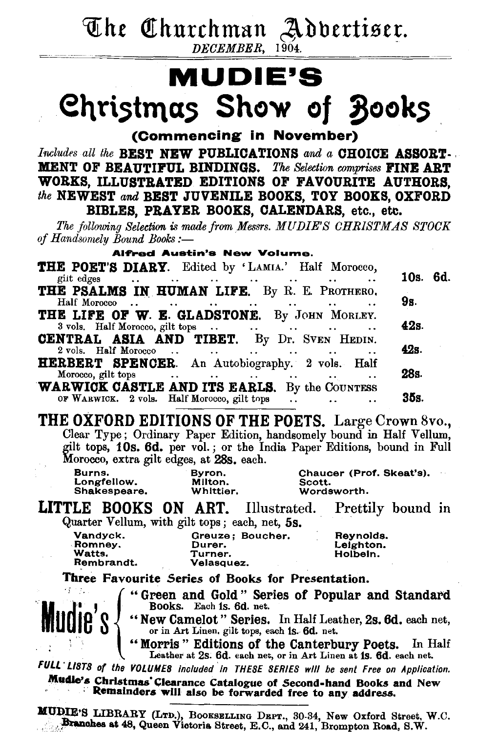The Churchman Advertiser. DECEMBER, 1904.

## **MUDIE'S** Christmas Show of Books

(Commencing in November)

Includes all the BEST NEW PUBLICATIONS and a CHOICE ASSORT. MENT OF BEAUTIFUL BINDINGS. The Selection comprises FINE ART WORKS, ILLUSTRATED EDITIONS OF FAVOURITE AUTHORS. the NEWEST and BEST JUVENILE BOOKS, TOY BOOKS, OXFORD BIBLES. PRAYER BOOKS, CALENDARS, etc., etc.

The following Selection is made from Messrs. MUDIE'S CHRISTMAS STOCK of Handsomely Bound Books:-

**Alfred Austin's New Volume.** 

| THE POET'S DIARY. Edited by 'LAMIA.' Half Morocco,                                                                                        |          |
|-------------------------------------------------------------------------------------------------------------------------------------------|----------|
| giit edges<br>the contract of the contract of the contract of the contract of the contract of the contract of the contract of             | 10s. 6d. |
| THE PSALMS IN HUMAN LIFE. By R. E. PROTHERO.                                                                                              |          |
| Half Morocco<br>$\sim$<br>the contract of the contract of the contract of the contract of the contract of the contract of the contract of | 9s.      |
| THE LIFE OF W. E. GLADSTONE. By JOHN MORLEY.                                                                                              | 42s.     |
| <b>CENTRAL ASIA AND TIBET.</b> By Dr. SVEN HEDIN.<br>2 vols. Half Morocco<br>and the state of the state of the state of                   | 42s.     |
| HERBERT SPENCER. An Autobiography. 2 vols. Half<br>Morocco, gilt tops                                                                     | 28s.     |
| <b>Contract Contract</b><br>$\ddotsc$<br>$\cdots$<br>WARWICK CASTLE AND ITS EARLS. By the COUNTESS                                        |          |
| OF WARWICK. 2 vols. Half Morocco, gilt tops<br>$\sim$ $\sim$                                                                              | 35s.     |

THE OXFORD EDITIONS OF THE POETS. Large Crown 8vo., Clear Type; Ordinary Paper Edition, handsomely bound in Half Vellum, gilt tops, 10s. 6d. per vol.; or the India Paper Editions, bound in Full Morocco, extra gilt edges, at 28s. each.

| Burns.       | Byron.    | Chaucer (Prof. Skeat's). |
|--------------|-----------|--------------------------|
| Longfellow.  | Milton.   | Scott.                   |
| Shakespeare. | Whittier. | Wordsworth.              |
|              |           |                          |

**LITTLE BOOKS ON ART.** Illustrated. Prettily bound in Quarter Vellum, with gilt tops; each, net, 5s.

| Vandyck.   | Greuze: Boucher. | Reynolds. |
|------------|------------------|-----------|
| Romney.    | Durer.           | Leighton. |
| Watts.     | Turner.          | Holbein.  |
| Rembrandt. | Velasquez.       |           |

Three Favourite Series of Books for Presentation.

Mudie's

"Green and Gold" Series of Popular and Standard<br>Books. Each is. 6d. net.<br>"New Camelot" Series. In Half Leather, 2s. 6d. each net,<br>or in Art Linen, gilt tops, each is. 6d. net.<br>"Morris" Editions of the Canterbury Poets. In

FULL LISTS of the VOLUMES included in THESE SERIES will be sent Free on Application.

Mudle's Christmas Clearance Catalogue of Second-hand Books and New Remainders will also be forwarded free to any address.

MUDIE'S LIBRARY (LTD.), BOOKSELLING DEPT., 30-34, New Oxford Street, W.C.<br>Branches at 48, Queen Victoria Street, E.C., and 241, Brompton Road, S.W.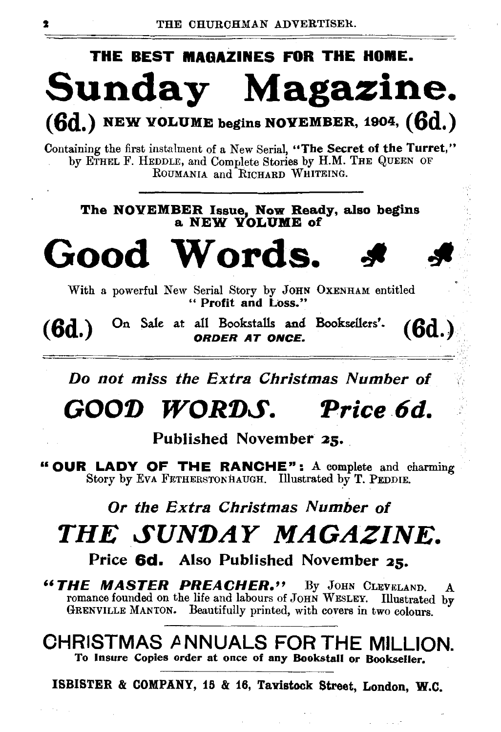# THE BEST MAOAZINES FOR THE HOME. Sunday Magazine.

 $(6d.)$  NEW VOLUME begins NOVEMBER, 1904,  $(6d.)$ 

Containing the first instalment of a New Serial, "The Secret of the Turret," by ETHEL F. HEDDLE, and Complete Stories by H.M. THE QUEEN OF ROUMANIA and RICHARD WHITEING.

The NOVEMBER Issue, Now Ready, also begins a NEW vOLUME of

Good Words.

With a powerful New Serial Story by JOHN OxENHAM entitled " Profit and Loss."

 $(6d.)$  On Sale at all Bookstalls and Booksellers'.  $(6d.)$ 

Do not miss the Extra Christmas Number of

"•  $\%$ 

## GOOD WORDS. Price 6d.

Published November 25.

"OUR LADY OF THE RANCHE": A complete and charming Story by EvA FETHERSTONHAUGH. Illustrated by T. PEDDIE.

### Or the Extra Christmas Number of

## THE SUNDAY MAGAZINE.

Price 6d. Also Published November 25.

*"THE MASTER PREACHER."* By JOHN CLEVI£LAND. A romance founded on the life and labours of JOHN WESLEY. Illustrated by GRENVILLE MANTON. Beautifully printed, with covers in two colours.

CHRISTMAS *P.* NNUALS FOR THE MILLION. To Insure Copies order at once of any Bookstall or Bookseller.

ISBISTER & COMPANY, 15 & 16, TaYistock Street, London, W.O.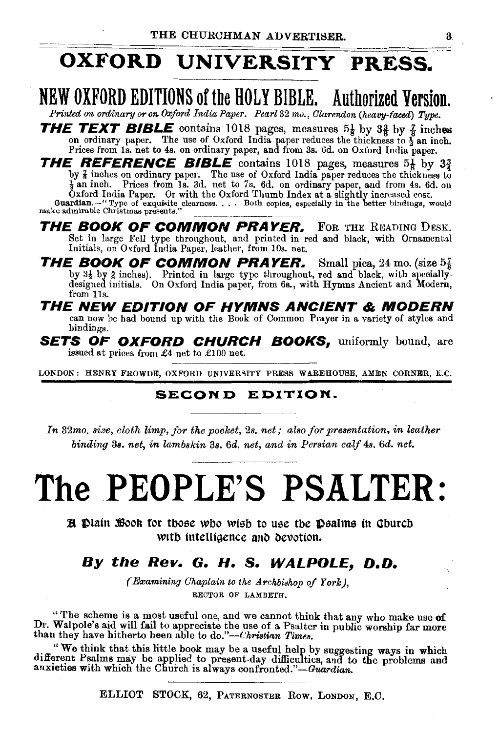## OXFORD UNIVERSITY PRESS.

## NEW OXFORD EDITIONS ofthe HOLY BIBLE. Authorized Version.

*Printed on ordinary or on Oxford India Paper. Pearl 32 mo., Clarendon (heavy-faced) Type.* 

**THE TEXT BIBLE** contains 1018 pages, measures  $5\frac{1}{8}$  by  $3\frac{3}{8}$  by  $\frac{7}{8}$  inches on ordinary paper. The use of Oxford India paper reduces the thickness to  $\frac{1}{2}$  an inch. Prices from ls. net to 4s. on ordinary paper, and from 3s. 6d. on Oxford India paper.

THE REFERENCE BIBLE contains 1018 pages, measures  $5\frac{1}{8}$  by  $3\frac{3}{4}$ by  $\frac{7}{4}$  inches on ordinary paper. The use of Oxford India paper reduces the thickness to  $\frac{1}{2}$  an inch. Prices from 1s. 3d. net to 7s. 6d. on ordinary paper, and from 4s. 6d. on Oxford India Paper. Or with the Ox Guardian.--"Type of exquisite clearness.... Both copies, especially in the better bindings, would make admirable Christmas presents."

THE BOOK OF COMMON PRAYER. FOR THE READING DESK. Set in large Fell type throughout, and printed in red and black, with Ornamental Initials, on Oxford India Paper, leather, from lOs. net.

**THE BOOK OF COMMON PRAYER.** Small pica, 24 mo. (size  $5\frac{7}{6}$  by  $3\frac{1}{2}$  by § inches). Printed in large type throughout, red and black, with speciallydesigned initials. On Oxford India paper, from 6s., with Hymns Ancient and Modern, from 11s.

THE NEW EDITION OF HYMNS ANCIENT & MODERN can now be had bound up with the Book of Common Prayer in a variety of styles and bindings.

**SETS OF OXFORD CHURCH BOOKS**, uniformly bound, are issued at prices from £4 net to £100 net.

LONDON: HENRY FROWDE, OXFORD UNIVERSITY PRESS WAREHOUSE, AMEN CORNER, E.C.

#### SECOND EDITION.

*In* 32mo. *size, cloth limp, for the pocket,* 2s. *net; also for presentation, in leather binding* 3a. *net, in lambskin* 3s. *6d. net, wnd in Persian calf 4s. 6d. net.* 

# The PEOPLE'S PSALTER:

 $E$  thath  $E$  sook for those who wish to use the Dealms in Church with intelligence and devotion.

#### By *the Rev.* G. H. S. WALPOLE, D.D.

*(Examining Chaplain to the Archbishop of York),* RECTOR OF LAMBETH.

"The scheme is a most useful one, and we cannot think that any who make use of Dr. Walpole's aid will fail to appreciate the use of a Psalter in public worship far more than they have hitherto been able to *do."-Christian Times.* 

. "We think that this little book may be a useful help by suggesting ways in which different Psalms may be applied to present-day difficulties, and to the problems and anxieties with which the Church is always confronted."—Guardian.

ELLIOT STOCK, 62, PATERNOSTER Row, LoNDON, E.C.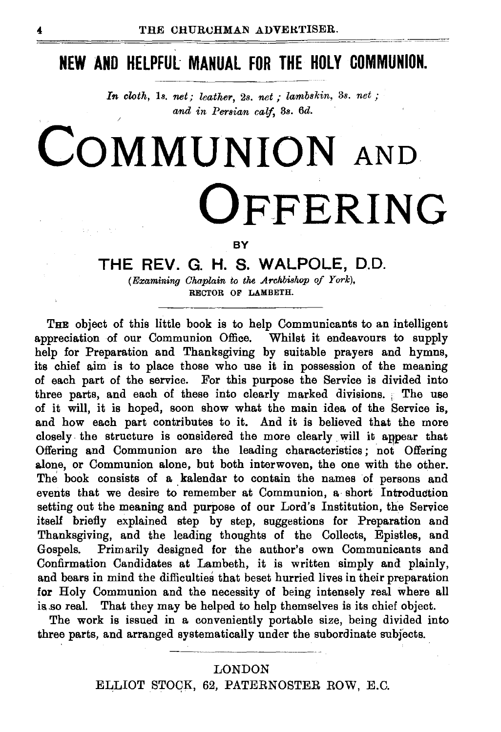## **NEW AND HELPFUL MANUAL FOR THE HOLY COMMUNION.**

*In cloth,* 18. *net; leather,* 2s. *net* ; *lambskin,* 3s. *net* ; *and in Persian calf,* 3s. *6d.* 

# **CoMMUNION** AND **OFFERING**

**BY** 

#### **THE REV. G. H. S. WALPOLE,** D.O.

*(Examining Chaplain to the Archbishop of York),*  RECTOR OF LAMBETH.

THE object of this little book is to help Communicants to an intelligent appreciation of our Communion Office. Whilst it endeavours to supply help for Preparation and Thanksgiving by suitable prayers and hymns, its chief aim is to place those who use it in possession of the meaning of each part of the service. For this purpose the Service is divided into three parts, and each of these into clearly marked divisions. The use of it will, it is hoped, soon show what the main idea of the Service is, and how each part contributes to it. And it is believed that the more closely the structure is considered the more clearly will it anpear that Offering and Communion are the leading characteristics ; not Offering alone, or Communion alone, but both interwoven, the one with the other. The book consists of a kalendar to contain the names of persons and events that we desire to remember at Communion, a short Introduction setting out the meaning and purpose of our Lord's Institution, the Service itself briefly explained step by step, suggestions for Preparation and Thanksgiving, and the leading thoughts of the Collects, Epistles, and Gospels. Primarily designed for the author's own Communicants and Primarily designed for the author's own Communicants and Confirmation Candidates at Lambeth, it is written simply and plainly, and bears in mind the difficulties that beset hurried lives in their preparation for Holy Communion and the necessity of being intensely real where all is so real. That they may be helped to help themselves is its chief object.

The work is issued in a conveniently portable size, being divided into three parts, and arranged systematically under the subordinate subjects.

#### LONDON

ELLIOT STOQK, 62, PATERNOSTER ROW, E.C.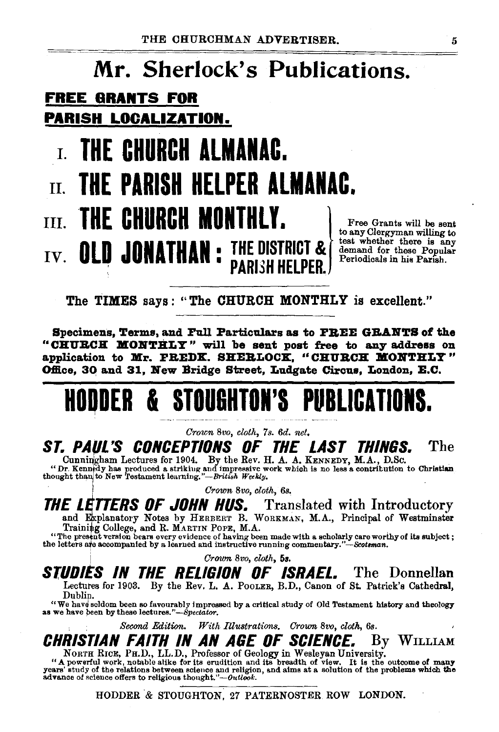## Mr. Sherlock's Publications. FREE ORANTS FOR PARISH LOCALIZATION. I. THE CHURCH ALMANAC.  $\Pi$  the parish helper almanac.

# $\text{I}\text{II}.$  THE CHURCH MONTHLY.  $\left\{ \begin{array}{c} \text{Free Grants will be sent} \ \text{to any Clergyman willing to} \end{array} \right.$

IV. **OLD JONATHAN** : THE DISTRICT  $\mathcal{R}$  demand for these Popular  $\mathbf{I}$  are the position of  $\mathbf{I}$  demand for these Popular  $\mathbf{I}$ **PARISH HELPER.** Periodicals in his Parish.

The TIMES says: "The CHURCH MONTHLY is excellent."

Specimens, Terms, and Full Particulars as to FREE GRANTS of the "CHURCH MONTHLY" will be sent post free to any address on application to  $M_{\rm F}$ . FREDK, SHERLOCK, "CHURCH MONTHLY" Office, 30 and 31, New Bridge Street, Ludgate Circus, London, E.C.

## HODDER & STOUGHTON'S PUBLICATION

*Crown Bvo, cloth,* 7 *s. 6d. net.* 

ST. PAUL'S CONCEPTIONS OF THE LAST THINGS. The Cunningham Lectures for 1904. By the Rev. H. A. A. KENNEDY, M.A., D.Sc.

"Dr. Kenn dy has produced a striking and impressive work which is no less a contribution to Christian thought than to New Testament learning."—*British Weekly*.

*Crown Bvo, cloth, 6s.* 

**THE LETTERS OF JOHN HUS.** Translated with Introductory and Explanatory Notes by HERBERT B. WORKMAN, M.A., Principal of Westminster<br>Training College, and R. MARTIN POPE, M.A.

"The present version bears every evidence of having been made with a scholarly care worthy of its subject;<br>the letters are accompanied by a learned and instructive running commentary."-Scotsman.

! *Crown Bvo, cloth, 58.* 

STUDIES IN THE RELIGION OF ISRAEL. The Donnellan Lectutes for 1903. By the Rev. L. A. PooLER, B.D., Canon of St. Patrick's Cathedral,

Dublin.

"We have seldom been so favourably impressed by a critical study of Old Testament history and theology as we have been by these *lectures."-Spectator*.

Second *Edition. With fllustrations. Crown Bvo, cloth, 6s.* 

**CHRISTIAN FAITH IN AN AGE OF SCIENCE.** By WILLIAM NORTH RICE, PH.D., LL.D., Professor of Geology in Wesleyan University.

NORTH RICE, PH.D., LL.D., Professor of Geology in Wesleyan University.<br>"A powerful work, notable alike for its erudition and its breadth of view. It is the outcome of many<br>years' study of the relations between science and

HODDER & STOUGHTON, 27 PATERNOSTER. ROW LONDON.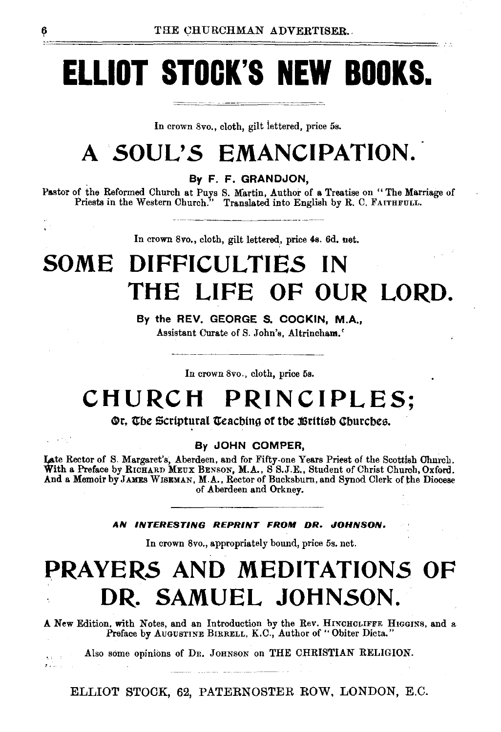# **ELLIOT STOCK'S NEW BOOKS.**

In crown Svo., cloth, gilt lettered, price 5s.

## **A SOUL'S EMANCIPATION.**

. By F. F. GRANDJON,

Pastor of the Reformed Church at Puys S. Martin, Author of a Treatise on "The Marriage of Priests in the Western Church." Translated into English by R. C. FAITHFULL.

In crown 8vo., cloth, gilt lettered, price 4s. 6d. net.

## **SOME DIFFICULTIES IN THE LIFE OF OUR LORD.**

By the REV. GEORGE S. COCKIN, M.A., Assistant Curate of S. John's, Altrincham.'

In crown 8vo., cloth, price 6s.

## **CHURCH PRINCIPLES;**

#### Or, The Scriptural Teaching of the British Churches.

By JOHN COMPER,

Late Rector of S. Margaret's, Aberdeen, and for Fifty-one Years Priest of the Scottish Church.<br>With a Preface by RICHARD MEUX BENSON, M.A., S S.J.E., Student of Christ Church, Oxford. And a Memoir by JAMES WISEMAN, M.A., Rector of Bucksburn, and Synod Clerk of the Diocese of Aberdeen and Orkney.

#### AN INTERESTING REPRINT FROM DR. JOHNSON.

In crown 8vo., appropriately bound, price 6s. net.

## **PRAYERS AND MEDITATIONS OF DR. SAMUEL JOHNSON.**

A New Edition, with Notes, and an Introduction by the Rev. HINCHCLIFFE HIGGINS, and a Preface by AUGUSTINE BIRRELL, K.C., Author of "Obiter Dicta."

Also some opinions of DR. JOHNSON on THE CHRISTIAN RELIGION.

ELLIOT STOCK, 62, PATERNOSTER ROW, LONDON, E.C.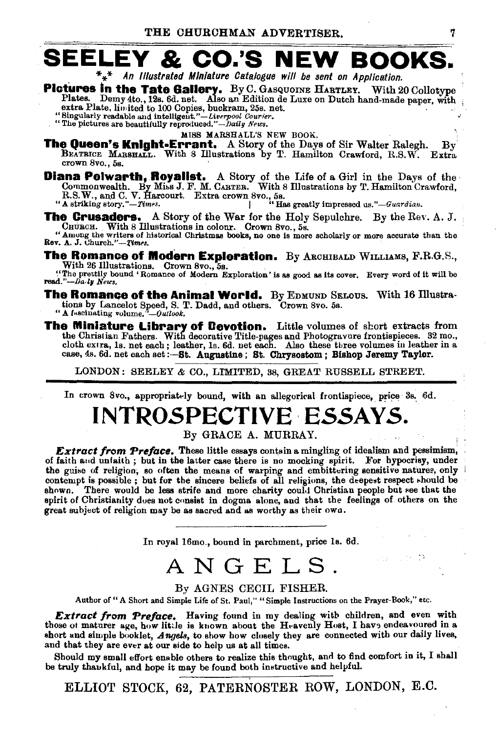## **SEELEY & CO.'S NEW BOOKS.**

 $*_{*}$  An Illustrated Miniature Catalogue will be sent on Application.

- **Pictures in the Tate Gallery.** By C. GASQUOINE HARTLEY. With 20 Collotype Plates. Demy 4to., 12s. 6d. net. Also an Edition de Luxe on Dutch hand-made paper, with
	-
	- extra Plate, limited to 100 Copies, buckram, 25s. net.<br>"Singularly readable and intelligent."—Liverpool Courier.<br>"The pictures are beautifully reproduced."—Daily News.

MISS MARSHALL'S NEW BOOK.

- The Queen's Knight-Errant. A Story of the Days of Sir Walter Ralegh. By BEATRICE MARSHALL. With 8 Illustrations by T. Hamilton Crawford, R.S.W. Extra crown 8vo., 5s.
- **Diana Polwarth, Royalist.** A Story of the Life of a Girl in the Days of the Commonwealth. By Miss J. F. M. CARTER. With 8 Illustrations by T. Hamilton Crawford, R.S.W., and C. V. Harcourt. Extra crown 8vo., 5s.<br>"A strikin

The Crusaders. A Story of the War for the Holy Sepulchre. By the Rev. A. J. CHURCH. With 8 Illustrations in colour. Crown 8vo., 5s.

"Among the writers of historical Christmas books, no one is more scholarly or more accurate than the Rev. A. J. Church."-Times.

**The Romance of Modern Exploration.** By ARCHIBALD WILLIAMS, F.R.G.S., With 26 Illustrations. Crown 8vo., 5s.

"The prettily bound 'Romance of Modern Exploration' is as good as its cover. Every word of it will be read."--Da.iy News.

- **The Romance of the Animal World.** By EDMUND SELOUS. With 16 Illustrations by Lancelot Speed, S. T. Dadd, and others. Crown 8vo. 5s.
	- " A fascinating volume."-Outlook.
- **The Miniature Library of Cevotion.** Little volumes of short extracts from the Christian Fathers. With decorative Title-pages and Photogravure frontispieces. 32 mo., cloth extra, 1s. net each; leather, 1s. 6d. net each. Al case, 4s. 6d. net each set: -- St. Augustine; St. Chrysostom; Bishop Jeremy Taylor.

LONDON: SEELEY & CO., LIMITED, 38, GREAT RUSSELL STREET.

In crown 8vo., appropriately bound, with an allegorical frontispiece, price 3s. 6d.

## INTROSPECTIVE ESSAYS.

By GRACE A. MURRAY.

**Extract from Preface.** These little essays contain a mingling of idealism and pessimism, of faith and unfaith; but in the latter case there is no mocking spirit. For hypocrisy, under the guise of religion, so often the means of warping and embittering sensitive natures, only contempt is possible; but for the sincere beliefs of all religions, the deepest respect should be shown. There would be less strife and more charity could Christian people but see that the spirit of Christianity does not consist in dogma alone, and that the feelings of others on the great subject of religion may be as sacred and as worthy as their own.

In royal 16mo., bound in parchment, price 1s. 6d.

## ANGELS.

#### By AGNES CECIL FISHER.

Author of "A Short and Simple Life of St. Paul," "Simple Instructions on the Prayer-Book," etc.

Extract from Preface. Having found in my dealing with children, and even with those of maturer age, how little is known about the H-avenly Host, I have endeavoured in a short and simple booklet, Angels, to show how closely they are connected with our daily lives, and that they are ever at our side to help us at all times.

Should my small effort enable others to realize this thought, and to find comfort in it, I shall be truly thankful, and hope it may be found both instructive and helpful.

ELLIOT STOCK, 62, PATERNOSTER ROW, LONDON, E.C.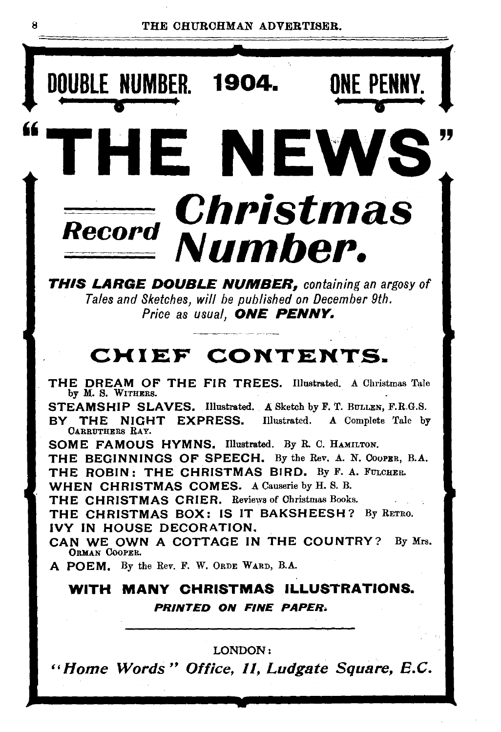8 THE CHURCHMAN ADVERTISER.

ONE PENNY. ∙ERF<br>●<br>■ ⊿

D<u>OUBLE NUMBER</u>. 1904.

# Record Christmas Number.

HE NEWS

THIS LARGE DOUBLE NUMBER, *containing an argosy of Tales and Sketches, will be published on December 9th.*  Price as usual, **ONE PENNY.** 

## CHIEF CONTENTS.

THE DREAM OF THE FIR TREES. Illustrated. A Christmas Tale by M. s. WITHERS.

STEAMSHIP SLAVES. Illustrated. A Sketch by F. T. BULLEN, F.R.G.S. BY THE NIGHT EXPRESS. Illustrated. A Complete Tale by CARRUTHERS RAY.

SOME FAMOUS HYMNS. Illustrated. By R. C. HAMILTON.

THE BEGINNINGS OF SPEECH. By the Rev. A. N. CooPER, B.A. THE ROBIN: THE CHRISTMAS BIRD. By F. A. FULCHER.

WHEN CHRISTMAS COMES. A Causerie by H. S. B.

THE CHRISTMAS CRIER. Reviews of Christmas Books.

THE CHRISTMAS BOX: IS IT BAKSHEESH? By RETRO. IVY IN HOUSE DECORATION.

CAN WE OWN A COTTAGE IN THE COUNTRY? By Mrs. ORMAN CoOPER.

A POEM. By the Rev. F. W. ORDE WARD, B.A.

#### WITH MANY CHRISTMAS ILLUSTRATIONS. PRINTED ON FINE PAPER.

#### LONDON:

"Home Words" Office, 11, Ludgate Square, E.C.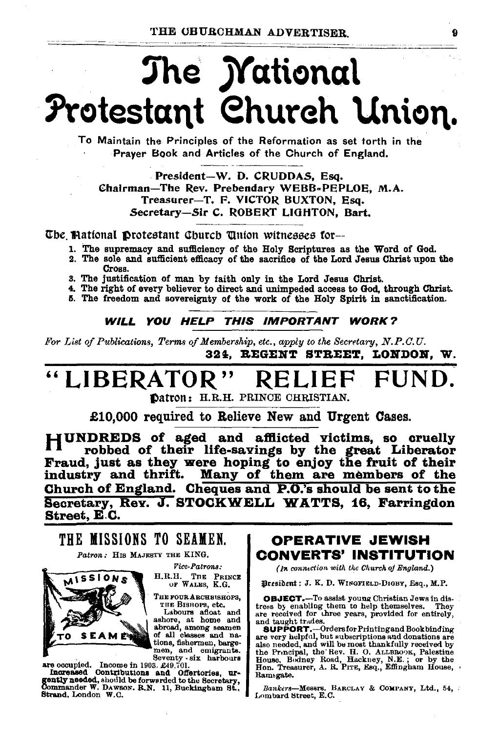# The *Mational* Protestant Church Union.

To Maintain the Principles of the Reformation as set torth in the Prayer Book and Articles of the Church of England.

President-W. D. CRUDDAS, Esq. Chairman-The Rev. Prebendary WEBB-PEPLOE, M.A. Treasurer-T. F. VICTOR BUXTON, Esq. Secretary-Sir C. ROBERT LIGHTON, Bart.

The Mational Protestant Church Union witnesses for-

- 1. The supremacy and sufficiency of the Holy Scriptures as the Word of God.
- 2. The sole and sufficient efficacy of the sacrifice of the Lord Jesus Christ upon the Cross.
- 3. The justification of man by faith only in the Lord Jesus Christ.
- 4. The right of every believer to direct and unimpeded access to God, through Christ.
- 5. The freedom and sovereignty of the work of the Holy Spirit in sanctification.

**WILL YOU HELP THIS IMPORTANT WORK?** 

For List of Publications, Terms of Membership, etc., apply to the Secretary, N.P.C.U. 324. REGENT STREET. LONDON. W.

#### **LIBERATOR** H. RELII

Datron: H.R.H. PRINCE CHRISTIAN.

£10,000 required to Relieve New and Urgent Cases.

HUNDREDS of aged and afflicted victims, so cruelly robbed of their life-savings by the great Liberator Fraud, just as they were hoping to enjoy the fruit of their<br>industry and thrift. Many of them are members of the Church of England. Cheques and P.O.'s should be sent to the Secretary, Rev. J. STOCKWELL WATTS, 16, Farringdon Street, E.C.

### THE MISSIONS TO SEAMEN.

Patron: HIS MAJESTY THE KING.



**Vice-Patrons:** H.R.H. THE PRINCE OF WALES, K.G.

THE FOUR ARCHBISHOPS, THE BISHOPS, etc.

Labours afloat and ashore, at home and abroad, among seamen of all classes and nations, fishermen, bargemen, and emigrants.<br>Seventy six harbours

are occupied. Income in 1903. £49,701. Increased Contributions and Cofferbories, urgently needed, should be forwarded to the Secretary. Commander W. Dawson. R.N. 11, Buckingham St., Strand, London W.C.

#### **OPERATIVE JEWISH CONVERTS' INSTITUTION**

(In connection with the Church of England.)

President: J. K. D. WINGFIELD-DIGBY, Esq., M.P.

**OBJECT.**--To assist young Christian Jews in distress by enabling them to help themselves. They are received for three years, provided for entirely, and taught trades.

SUPPORT.--Ordersfor Printing and Book binding<br>are very helpful, but subscriptions and donations are are very negroup, and will be most thankfully received by<br>also needed, and will be most thankfully received by<br>the Principal, the Rev. H. O. ALLEROOK, Palestine<br>House, Bodney Road, Hackney, N.E.; or by the<br>Hon. Treasurer, Ramsgate.

Bankers-Messrs. BARCLAY & COMPANY, Ltd., 54, Lombard Street, E.C.

 $\mathbf Q$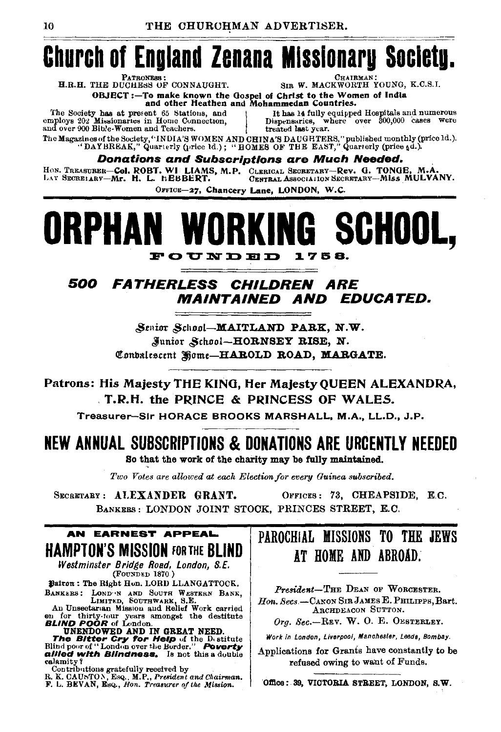## **Church of England Zenana Missionary Society.**

SIR W. MACKWORTH YOUNG, K.C.S.I.

H.R.H. THE DUCHESS OF CONNAUGHT.

OBJECT:-To make known the Gospel of Christ to the Women of India<br>and other Heathen and Mohammedan Countries.

The Society has at present 65 Stations, and employs 202 Missionaries in Home Connection, and over 900 Bible-Women and Teachers.

It has 14 fully equipped Hospitals and numerous<br>Dispensaries, where over 300,000 cases were treated last year.

The Magazines of the Society, "INDIA'S WOMEN AND CHINA'S DAUGHTERS," published monthly (price ld.).<br>"DAYBREAK," Quarterly (price ld.); "HOMES OF THE EAST," Quarterly (price 4d.).

**Donations and Subscriptions are Much Needed.** 

HON. TREASURER-COI. ROBT. WI LIAMS, M.P. CLERICAL SECRETARY-Rev. G. TONGE, M.A.<br>LAY SECREIARY-Mr. H. L. hEBBERT. CENTRAL ASSOCIALION SECRETARY-MISS MULVANY.

OFFICE-27, Chancery Lane, LONDON, W.C.

#### ORKI **SCHOOL.** 1758. FOUNDED

#### 500 **FATHERLESS CHILDREN ARE EDUCATED.** *MAINTAINED AND*

Senior School-MAITLAND PARK. N.W. Junior School-HORNSEY RISE, N. Conbalescent Home-HAROLD ROAD, MARGATE.

Patrons: His Majesty THE KING, Her Majesty QUEEN ALEXANDRA, T.R.H. the PRINCE & PRINCESS OF WALES.

Treasurer-Sir HORACE BROOKS MARSHALL, M.A., LL.D., J.P.

#### NEW ANNUAL SUBSCRIPTIONS & DONATIONS ARE URCENTLY NEEDED So that the work of the charity may be fully maintained.

Two Votes are allowed at each Election for every Guinea subscribed.

SECRETARY: ALEXANDER GRANT. OFFICES: 73. CHEAPSIDE. E.C. BANKERS: LONDON JOINT STOCK, PRINCES STREET, E.C.

#### AN EARNEST APPEAL **HAMPTON'S MISSION FOR THE BLIND**

Westminster Bridge Road, London, S.E. (FOUNDED 1870.)

Batron: The Right Hon. LORD LLANGATTOCK. BANKERS: LOND N AND SOUTH WESTERN BANK, LIMITED, SOUTHWARK, S.E.<br>An Unsectarian Mission and Relief Work carried

on for thriv-lour years amongst the destitute<br> **ELIND POOR** of London.<br> **UNENDOWED AND IN GREAT NEED.**<br> **THE SILTED TO AND IN GREAT NEED.**<br>
THE SILTED TO AND IN GREAT NEED.<br>
THE SILTED TO A COMPANY PORT OF THE SILTED OF TH allied with Blindness. Is not this a double calamity?

contributions gratefully received by<br>R. K. CAUSTON, EsQ., M.P., President and Chairman.<br>F. L. BEVAN, EsQ., Hon. Treasurer of the Mission.

## PAROCHIAL MISSIONS TO THE JEWS AT HOME AND ABROAD.

President-THE DEAN OF WORCESTER. Hon. Secs.-CANON SIR JAMES E. PHILIPPS, Bart. ARCHDEACON SUTTON. Org. Sec.-REV. W. O. E. OESTERLEY.

Work in London, Liverpool, Manchester, Leeds, Bombay.

Applications for Grants have constantly to be refused owing to want of Funds.

Office: 39, VICTORIA STREET, LONDON, S.W.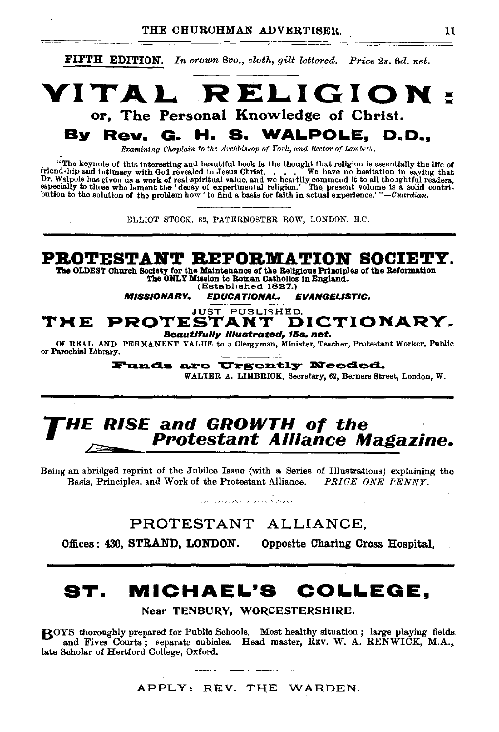

### **HE RISE and GROWTH of the** Protestant Alliance Magazine.

Being an abridged reprint of the Jubilee Issue (with a Series of Illustrations) explaining the Basis, Principles, and Work of the Protestant Alliance. PRICE ONE PENNY.

PROTESTANT ALLIANCE.

Offices: 430, STRAND, LONDON. Opposite Charing Cross Hospital.

## ST. MICHAEL'S COLLEGE.

Near TENBURY, WORCESTERSHIRE.

ROYS thoroughly prepared for Public Schools. Most healthy situation; large playing fields. and Fives Courts; separate cubicles. Head master, RRV. W. A. RENWICK, M.A., late Scholar of Hertford College, Oxford.

APPLY: REV. THE WARDEN.